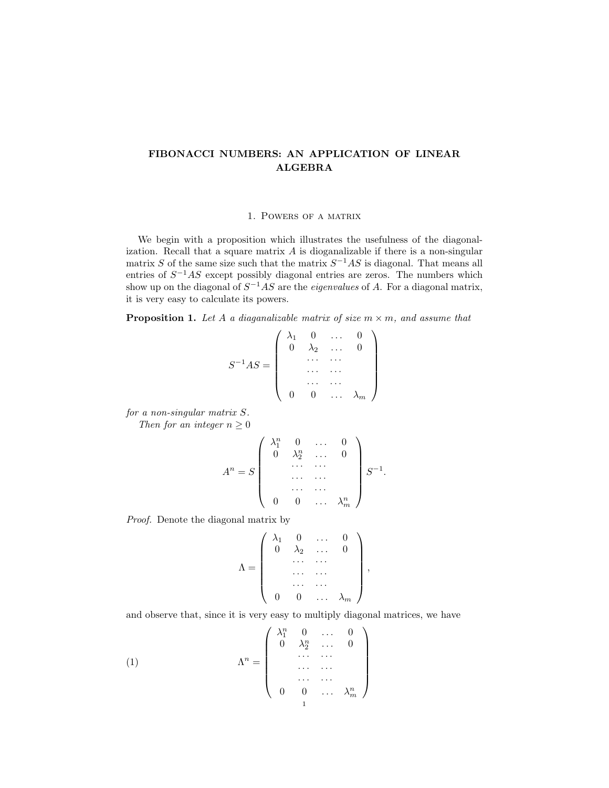# FIBONACCI NUMBERS: AN APPLICATION OF LINEAR ALGEBRA

## 1. Powers of a matrix

We begin with a proposition which illustrates the usefulness of the diagonalization. Recall that a square matrix A is dioganalizable if there is a non-singular matrix S of the same size such that the matrix  $S^{-1}AS$  is diagonal. That means all entries of  $S^{-1}AS$  except possibly diagonal entries are zeros. The numbers which show up on the diagonal of  $S^{-1}AS$  are the *eigenvalues* of A. For a diagonal matrix, it is very easy to calculate its powers.

**Proposition 1.** Let A a diagonalizable matrix of size  $m \times m$ , and assume that

$$
S^{-1}AS = \left(\begin{array}{cccc} \lambda_1 & 0 & \dots & 0 \\ 0 & \lambda_2 & \dots & 0 \\ & \dots & \dots & \\ & & \dots & \dots \\ 0 & 0 & \dots & \lambda_m \end{array}\right)
$$

for a non-singular matrix S.

Then for an integer  $n \geq 0$ 

$$
A^n = S \left( \begin{array}{cccc} \lambda_1^n & 0 & \dots & 0 \\ 0 & \lambda_2^n & \dots & 0 \\ & \dots & \dots & \\ & & \dots & \dots \\ & & & \dots & \dots \\ 0 & 0 & \dots & \lambda_m^n \end{array} \right) S^{-1}
$$

.

,

Proof. Denote the diagonal matrix by

$$
\Lambda = \left( \begin{array}{cccc} \lambda_1 & 0 & \dots & 0 \\ 0 & \lambda_2 & \dots & 0 \\ & \dots & \dots & \\ & \dots & \dots & \\ 0 & 0 & \dots & \lambda_m \end{array} \right)
$$

and observe that, since it is very easy to multiply diagonal matrices, we have

(1) 
$$
\Lambda^{n} = \begin{pmatrix} \lambda_{1}^{n} & 0 & \dots & 0 \\ 0 & \lambda_{2}^{n} & \dots & 0 \\ & \dots & \dots & \\ & & \dots & \dots \\ 0 & 0 & \dots & \lambda_{m}^{n} \end{pmatrix}
$$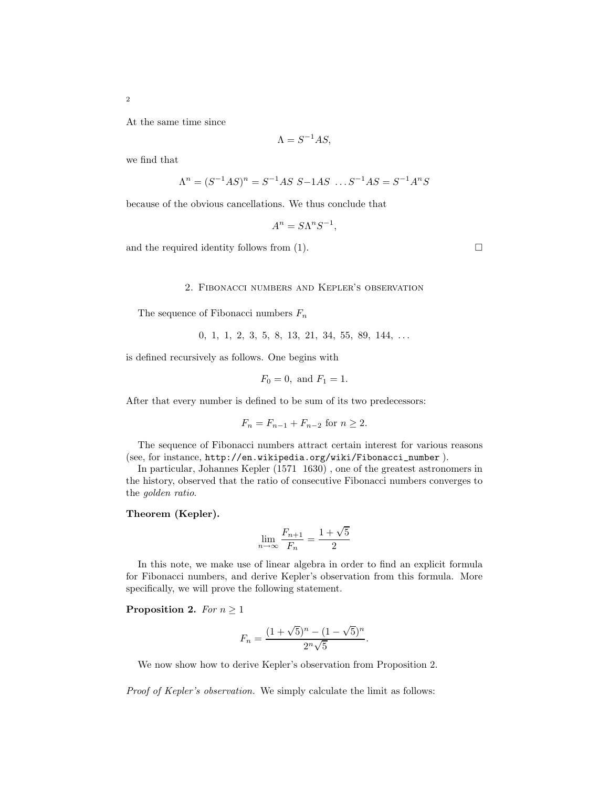At the same time since

$$
\Lambda = S^{-1}AS,
$$

we find that

$$
\Lambda^{n} = (S^{-1}AS)^{n} = S^{-1}AS \ S - 1AS \ \dots S^{-1}AS = S^{-1}A^{n}S
$$

because of the obvious cancellations. We thus conclude that

$$
A^n = S\Lambda^n S^{-1},
$$

and the required identity follows from  $(1)$ .

#### 2. Fibonacci numbers and Kepler's observation

The sequence of Fibonacci numbers  $F_n$ 

$$
0, 1, 1, 2, 3, 5, 8, 13, 21, 34, 55, 89, 144, \ldots
$$

is defined recursively as follows. One begins with

$$
F_0 = 0
$$
, and  $F_1 = 1$ .

After that every number is defined to be sum of its two predecessors:

$$
F_n = F_{n-1} + F_{n-2} \text{ for } n \ge 2.
$$

The sequence of Fibonacci numbers attract certain interest for various reasons (see, for instance, http://en.wikipedia.org/wiki/Fibonacci\_number ).

In particular, Johannes Kepler (1571 1630) , one of the greatest astronomers in the history, observed that the ratio of consecutive Fibonacci numbers converges to the golden ratio.

### Theorem (Kepler).

$$
\lim_{n \to \infty} \frac{F_{n+1}}{F_n} = \frac{1 + \sqrt{5}}{2}
$$

In this note, we make use of linear algebra in order to find an explicit formula for Fibonacci numbers, and derive Kepler's observation from this formula. More specifically, we will prove the following statement.

#### **Proposition 2.** For  $n \geq 1$

$$
F_n = \frac{(1 + \sqrt{5})^n - (1 - \sqrt{5})^n}{2^n \sqrt{5}}.
$$

We now show how to derive Kepler's observation from Proposition 2.

Proof of Kepler's observation. We simply calculate the limit as follows: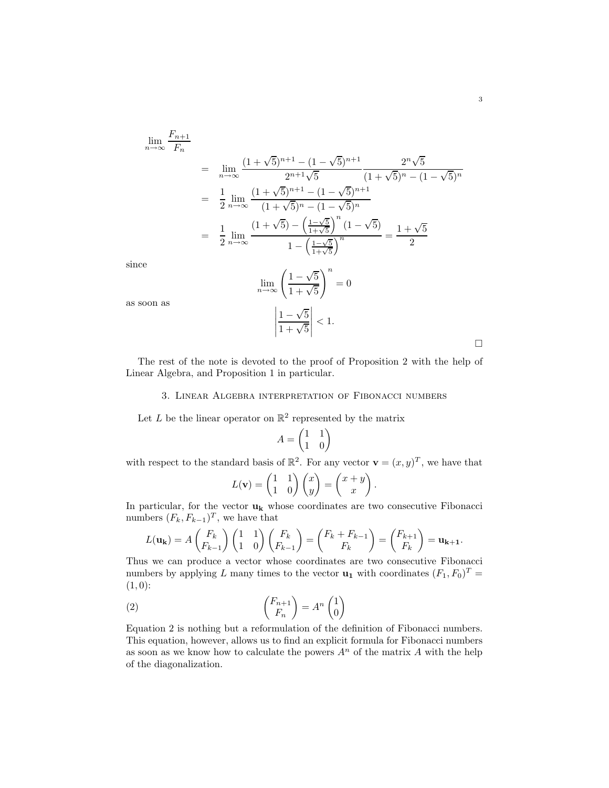$$
\lim_{n \to \infty} \frac{F_{n+1}}{F_n}
$$
\n
$$
= \lim_{n \to \infty} \frac{(1+\sqrt{5})^{n+1} - (1-\sqrt{5})^{n+1}}{2^{n+1}\sqrt{5}} \frac{2^n \sqrt{5}}{(1+\sqrt{5})^n - (1-\sqrt{5})^n}
$$
\n
$$
= \frac{1}{2} \lim_{n \to \infty} \frac{(1+\sqrt{5})^{n+1} - (1-\sqrt{5})^{n+1}}{(1+\sqrt{5})^n - (1-\sqrt{5})^n}
$$
\n
$$
= \frac{1}{2} \lim_{n \to \infty} \frac{(1+\sqrt{5}) - \left(\frac{1-\sqrt{5}}{1+\sqrt{5}}\right)^n (1-\sqrt{5})}{1-\left(\frac{1-\sqrt{5}}{1+\sqrt{5}}\right)^n} = \frac{1+\sqrt{5}}{2}
$$
\n
$$
\lim_{n \to \infty} \left(\frac{1-\sqrt{5}}{1+\sqrt{5}}\right)^n = 0
$$

since

as soon as

 $\Box$ 

The rest of the note is devoted to the proof of Proposition 2 with the help of Linear Algebra, and Proposition 1 in particular.

 $1 + \sqrt{5}$ 

 $1 - \sqrt{5}$  $1 + \sqrt{5}$   $< 1$ .  $= 0$ 

#### 3. Linear Algebra interpretation of Fibonacci numbers

Let L be the linear operator on  $\mathbb{R}^2$  represented by the matrix

 $\begin{array}{c} \hline \end{array}$ 

$$
A=\begin{pmatrix} 1 & 1 \\ 1 & 0 \end{pmatrix}
$$

with respect to the standard basis of  $\mathbb{R}^2$ . For any vector  $\mathbf{v} = (x, y)^T$ , we have that

$$
L(\mathbf{v}) = \begin{pmatrix} 1 & 1 \\ 1 & 0 \end{pmatrix} \begin{pmatrix} x \\ y \end{pmatrix} = \begin{pmatrix} x+y \\ x \end{pmatrix}.
$$

In particular, for the vector  $\mathbf{u}_k$  whose coordinates are two consecutive Fibonacci numbers  $(F_k, F_{k-1})^T$ , we have that

$$
L(\mathbf{u_k}) = A\begin{pmatrix} F_k \\ F_{k-1} \end{pmatrix} \begin{pmatrix} 1 & 1 \\ 1 & 0 \end{pmatrix} \begin{pmatrix} F_k \\ F_{k-1} \end{pmatrix} = \begin{pmatrix} F_k + F_{k-1} \\ F_k \end{pmatrix} = \begin{pmatrix} F_{k+1} \\ F_k \end{pmatrix} = \mathbf{u_{k+1}}.
$$

Thus we can produce a vector whose coordinates are two consecutive Fibonacci numbers by applying L many times to the vector  $\mathbf{u}_1$  with coordinates  $(F_1, F_0)^T =$  $(1, 0)$ :

(2) 
$$
\begin{pmatrix} F_{n+1} \\ F_n \end{pmatrix} = A^n \begin{pmatrix} 1 \\ 0 \end{pmatrix}
$$

Equation 2 is nothing but a reformulation of the definition of Fibonacci numbers. This equation, however, allows us to find an explicit formula for Fibonacci numbers as soon as we know how to calculate the powers  $A<sup>n</sup>$  of the matrix A with the help of the diagonalization.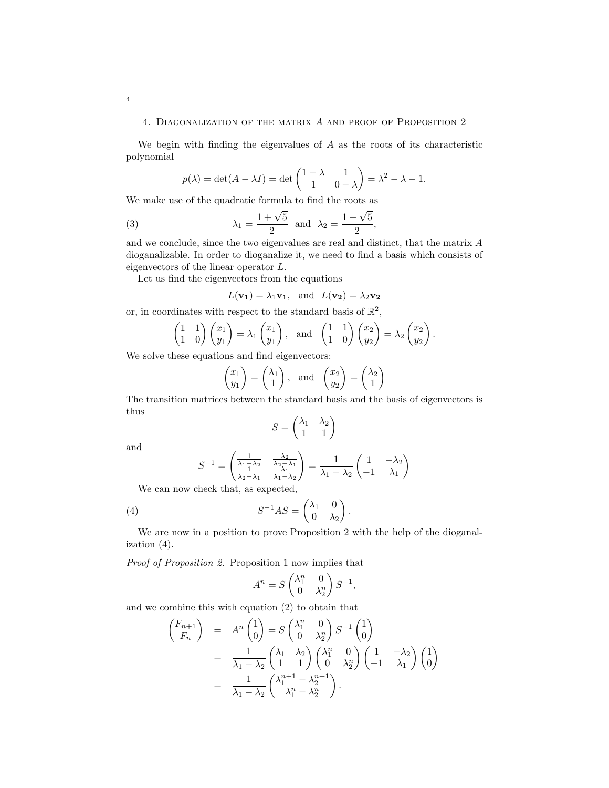#### 4. Diagonalization of the matrix A and proof of Proposition 2

We begin with finding the eigenvalues of  $A$  as the roots of its characteristic polynomial

$$
p(\lambda) = \det(A - \lambda I) = \det \begin{pmatrix} 1 - \lambda & 1 \\ 1 & 0 - \lambda \end{pmatrix} = \lambda^2 - \lambda - 1.
$$

We make use of the quadratic formula to find the roots as

(3) 
$$
\lambda_1 = \frac{1+\sqrt{5}}{2}
$$
 and  $\lambda_2 = \frac{1-\sqrt{5}}{2}$ ,

and we conclude, since the two eigenvalues are real and distinct, that the matrix A dioganalizable. In order to dioganalize it, we need to find a basis which consists of eigenvectors of the linear operator L.

Let us find the eigenvectors from the equations

$$
L(\mathbf{v_1}) = \lambda_1 \mathbf{v_1}
$$
, and  $L(\mathbf{v_2}) = \lambda_2 \mathbf{v_2}$ 

or, in coordinates with respect to the standard basis of  $\mathbb{R}^2$ ,

$$
\begin{pmatrix} 1 & 1 \ 1 & 0 \end{pmatrix} \begin{pmatrix} x_1 \ y_1 \end{pmatrix} = \lambda_1 \begin{pmatrix} x_1 \ y_1 \end{pmatrix}, \text{ and } \begin{pmatrix} 1 & 1 \ 1 & 0 \end{pmatrix} \begin{pmatrix} x_2 \ y_2 \end{pmatrix} = \lambda_2 \begin{pmatrix} x_2 \ y_2 \end{pmatrix}.
$$

We solve these equations and find eigenvectors:

$$
\begin{pmatrix} x_1 \\ y_1 \end{pmatrix} = \begin{pmatrix} \lambda_1 \\ 1 \end{pmatrix}, \text{ and } \begin{pmatrix} x_2 \\ y_2 \end{pmatrix} = \begin{pmatrix} \lambda_2 \\ 1 \end{pmatrix}
$$

The transition matrices between the standard basis and the basis of eigenvectors is thus

$$
S = \begin{pmatrix} \lambda_1 & \lambda_2 \\ 1 & 1 \end{pmatrix}
$$

and

$$
S^{-1} = \begin{pmatrix} \frac{1}{\lambda_1 - \lambda_2} & \frac{\lambda_2}{\lambda_2 - \lambda_1} \\ \frac{1}{\lambda_2 - \lambda_1} & \frac{\lambda_1}{\lambda_1 - \lambda_2} \end{pmatrix} = \frac{1}{\lambda_1 - \lambda_2} \begin{pmatrix} 1 & -\lambda_2 \\ -1 & \lambda_1 \end{pmatrix}
$$

We can now check that, as expected,

(4) 
$$
S^{-1}AS = \begin{pmatrix} \lambda_1 & 0 \\ 0 & \lambda_2 \end{pmatrix}.
$$

We are now in a position to prove Proposition 2 with the help of the dioganalization (4).

Proof of Proposition 2. Proposition 1 now implies that

$$
A^n = S \begin{pmatrix} \lambda_1^n & 0 \\ 0 & \lambda_2^n \end{pmatrix} S^{-1},
$$

and we combine this with equation (2) to obtain that

$$
\begin{aligned}\n\begin{pmatrix} F_{n+1} \\ F_n \end{pmatrix} &= A^n \begin{pmatrix} 1 \\ 0 \end{pmatrix} = S \begin{pmatrix} \lambda_1^n & 0 \\ 0 & \lambda_2^n \end{pmatrix} S^{-1} \begin{pmatrix} 1 \\ 0 \end{pmatrix} \\
&= \frac{1}{\lambda_1 - \lambda_2} \begin{pmatrix} \lambda_1 & \lambda_2 \\ 1 & 1 \end{pmatrix} \begin{pmatrix} \lambda_1^n & 0 \\ 0 & \lambda_2^n \end{pmatrix} \begin{pmatrix} 1 & -\lambda_2 \\ -1 & \lambda_1 \end{pmatrix} \begin{pmatrix} 1 \\ 0 \end{pmatrix} \\
&= \frac{1}{\lambda_1 - \lambda_2} \begin{pmatrix} \lambda_1^{n+1} - \lambda_2^{n+1} \\ \lambda_1^n - \lambda_2^n \end{pmatrix} .\n\end{aligned}
$$